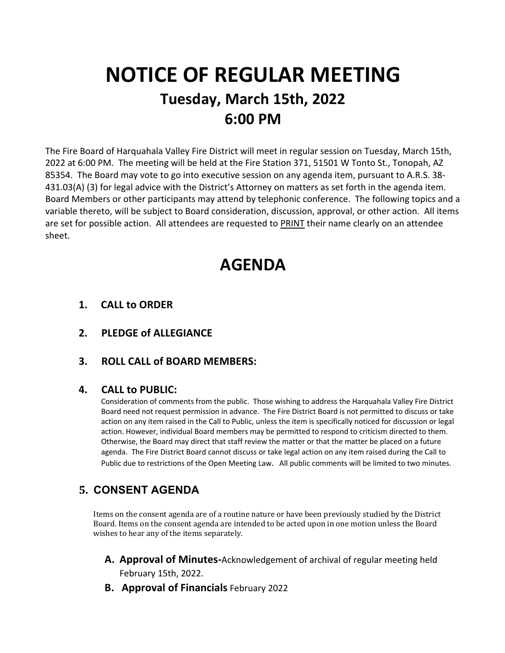# **NOTICE OF REGULAR MEETING Tuesday, March 15th, 2022 6:00 PM**

The Fire Board of Harquahala Valley Fire District will meet in regular session on Tuesday, March 15th, 2022 at 6:00 PM. The meeting will be held at the Fire Station 371, 51501 W Tonto St., Tonopah, AZ 85354. The Board may vote to go into executive session on any agenda item, pursuant to A.R.S. 38- 431.03(A) (3) for legal advice with the District's Attorney on matters as set forth in the agenda item. Board Members or other participants may attend by telephonic conference. The following topics and a variable thereto, will be subject to Board consideration, discussion, approval, or other action. All items are set for possible action. All attendees are requested to PRINT their name clearly on an attendee sheet.

# **AGENDA**

- **1. CALL to ORDER**
- **2. PLEDGE of ALLEGIANCE**
- **3. ROLL CALL of BOARD MEMBERS:**

#### **4. CALL to PUBLIC:**

Consideration of comments from the public. Those wishing to address the Harquahala Valley Fire District Board need not request permission in advance. The Fire District Board is not permitted to discuss or take action on any item raised in the Call to Public, unless the item is specifically noticed for discussion or legal action. However, individual Board members may be permitted to respond to criticism directed to them. Otherwise, the Board may direct that staff review the matter or that the matter be placed on a future agenda. The Fire District Board cannot discuss or take legal action on any item raised during the Call to Public due to restrictions of the Open Meeting Law. All public comments will be limited to two minutes.

# **5. CONSENT AGENDA**

Items on the consent agenda are of a routine nature or have been previously studied by the District Board. Items on the consent agenda are intended to be acted upon in one motion unless the Board wishes to hear any of the items separately.

- **A. Approval of Minutes-**Acknowledgement of archival of regular meeting held February 15th, 2022.
- **B. Approval of Financials** February 2022